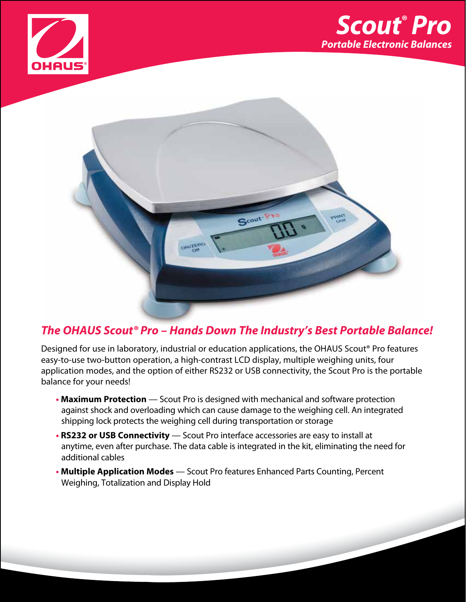





## *The OHAUS Scout® Pro – Hands Down The Industry's Best Portable Balance!*

Designed for use in laboratory, industrial or education applications, the OHAUS Scout® Pro features easy-to-use two-button operation, a high-contrast LCD display, multiple weighing units, four application modes, and the option of either RS232 or USB connectivity, the Scout Pro is the portable balance for your needs!

- Maximum Protection Scout Pro is designed with mechanical and software protection against shock and overloading which can cause damage to the weighing cell. An integrated shipping lock protects the weighing cell during transportation or storage
- **• RS232 or USB Connectivity**  Scout Pro interface accessories are easy to install at anytime, even after purchase. The data cable is integrated in the kit, eliminating the need for additional cables
- **• Multiple Application Modes**  Scout Pro features Enhanced Parts Counting, Percent Weighing, Totalization and Display Hold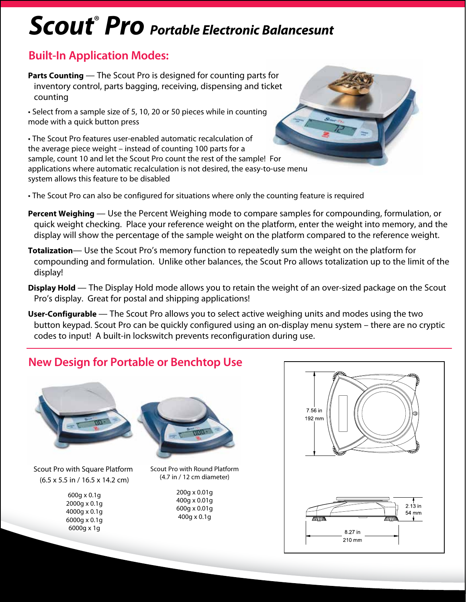# *Scout*®  *Pro Portable Electronic Balancesunt*

### **Built-In Application Modes:**

**Parts Counting** — The Scout Pro is designed for counting parts for inventory control, parts bagging, receiving, dispensing and ticket counting

• Select from a sample size of 5, 10, 20 or 50 pieces while in counting mode with a quick button press

• The Scout Pro features user-enabled automatic recalculation of the average piece weight – instead of counting 100 parts for a sample, count 10 and let the Scout Pro count the rest of the sample! For applications where automatic recalculation is not desired, the easy-to-use menu system allows this feature to be disabled

• The Scout Pro can also be configured for situations where only the counting feature is required

- **Percent Weighing**  Use the Percent Weighing mode to compare samples for compounding, formulation, or quick weight checking. Place your reference weight on the platform, enter the weight into memory, and the display will show the percentage of the sample weight on the platform compared to the reference weight.
- **Totalization** Use the Scout Pro's memory function to repeatedly sum the weight on the platform for compounding and formulation. Unlike other balances, the Scout Pro allows totalization up to the limit of the display!
- **Display Hold**  The Display Hold mode allows you to retain the weight of an over-sized package on the Scout Pro's display. Great for postal and shipping applications!
- **User-Configurable**  The Scout Pro allows you to select active weighing units and modes using the two button keypad. Scout Pro can be quickly configured using an on-display menu system – there are no cryptic codes to input! A built-in lockswitch prevents reconfiguration during use.

## **New Design for Portable or Benchtop Use**



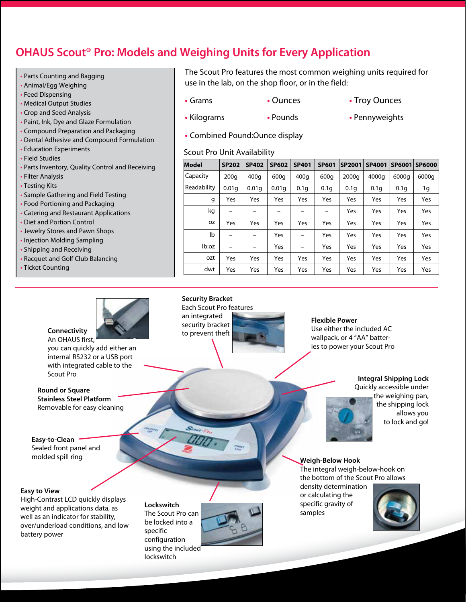## **OHAUS Scout® Pro: Models and Weighing Units for Every Application**

- Parts Counting and Bagging
- Animal/Egg Weighing
- Feed Dispensing
- Medical Output Studies
- Crop and Seed Analysis
- Paint, Ink, Dye and Glaze Formulation
- Compound Preparation and Packaging
- Dental Adhesive and Compound Formulation
- Education Experiments
- Field Studies
- Parts Inventory, Quality Control and Receiving
- Filter Analysis
- Testing Kits
- Sample Gathering and Field Testing
- Food Portioning and Packaging
- Catering and Restaurant Applications
- Diet and Portion Control
- Jewelry Stores and Pawn Shops
- Injection Molding Sampling
- Shipping and Receiving
- Racquet and Golf Club Balancing
- Ticket Counting



An OHAUS first,

you can quickly add either an internal RS232 or a USB port with integrated cable to the Scout Pro

**Round or Square Stainless Steel Platform**  Removable for easy cleaning

**Easy-to-Clean** Sealed front panel and molded spill ring

#### **Easy to View**

High-Contrast LCD quickly displays weight and applications data, as well as an indicator for stability, over/underload conditions, and low battery power

#### **Lockswitch**

The Scout Pro can be locked into a specific configuration using the included lockswitch



The Scout Pro features the most common weighing units required for use in the lab, on the shop floor, or in the field:

- Grams Ounces Troy Ounces
	-
- 
- **•** Kilograms **•** Pounds **•** Pennyweights
- **•** Combined Pound:Ounce display

#### Scout Pro Unit Availability

| <b>Model</b> | <b>SP202</b> | <b>SP402</b> | <b>SP602</b> | <b>SP401</b>             | <b>SP601</b> | <b>SP2001</b> | SP4001 | SP6001 | <b>SP6000</b> |
|--------------|--------------|--------------|--------------|--------------------------|--------------|---------------|--------|--------|---------------|
| Capacity     | 200q         | 400q         | 600g         | 400q                     | 600g         | 2000g         | 4000g  | 6000g  | 6000g         |
| Readability  | 0.01q        | 0.01q        | 0.01q        | 0.1q                     | 0.1q         | 0.1q          | 0.1q   | 0.1q   | 1g            |
| g            | Yes          | Yes          | Yes          | Yes                      | Yes          | Yes           | Yes    | Yes    | Yes           |
| kg           |              |              |              |                          |              | Yes           | Yes    | Yes    | Yes           |
| oz           | Yes          | Yes          | Yes          | Yes                      | Yes          | Yes           | Yes    | Yes    | Yes           |
| lb           |              |              | Yes          | $\overline{\phantom{0}}$ | Yes          | Yes           | Yes    | Yes    | Yes           |
| lb:oz        |              |              | Yes          |                          | Yes          | Yes           | Yes    | Yes    | Yes           |
| ozt          | Yes          | Yes          | Yes          | Yes                      | Yes          | Yes           | Yes    | Yes    | Yes           |
| dwt          | Yes          | Yes          | Yes          | Yes                      | Yes          | Yes           | Yes    | Yes    | Yes           |

**Flexible Power** Use either the included AC wallpack, or 4 "AA" batteries to power your Scout Pro

### **Integral Shipping Lock**

Quickly accessible under the weighing pan,

the shipping lock allows you to lock and go!

**Weigh-Below Hook**

The integral weigh-below-hook on the bottom of the Scout Pro allows

density determination or calculating the specific gravity of samples



Each Scout Pro features

an integrated security bracket

**Security Bracket**